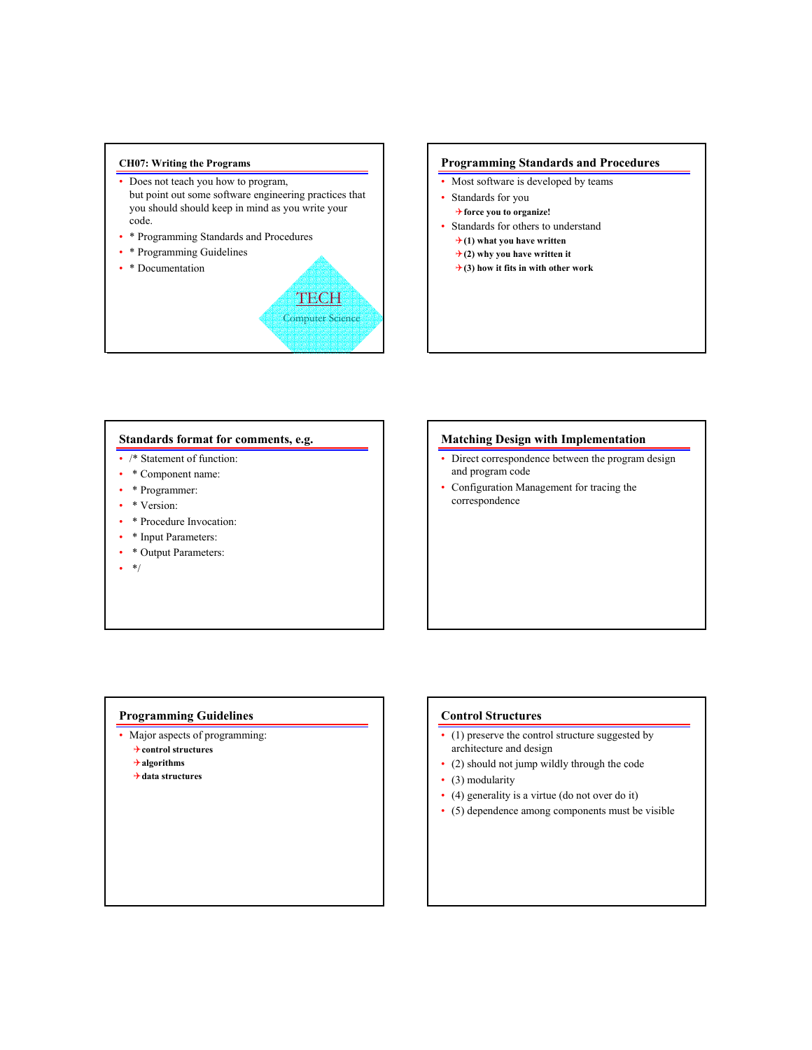#### **CH07: Writing the Programs**

- Does not teach you how to program, but point out some software engineering practices that you should should keep in mind as you write your code.
- \* Programming Standards and Procedures
- \* Programming Guidelines
- \* Documentation



#### **Programming Standards and Procedures**

- Most software is developed by teams
- Standards for you
	- 4**force you to organize!**
- Standards for others to understand
	- 4**(1) what you have written**
	- $\rightarrow$  (2) why you have written it
	- $\rightarrow$  (3) how it fits in with other work

#### **Standards format for comments, e.g.**

- /\* Statement of function:
- \* Component name:
- \* Programmer:
- \* Version:
- \* Procedure Invocation:
- \* Input Parameters:
- \* Output Parameters:
- $*$ /

## **Matching Design with Implementation**

- Direct correspondence between the program design and program code
- Configuration Management for tracing the correspondence

### **Programming Guidelines**

- Major aspects of programming:
	- 4**control structures**
	- 4**algorithms**
	- 4**data structures**

#### **Control Structures**

- (1) preserve the control structure suggested by architecture and design
- (2) should not jump wildly through the code
- (3) modularity
- (4) generality is a virtue (do not over do it)
- (5) dependence among components must be visible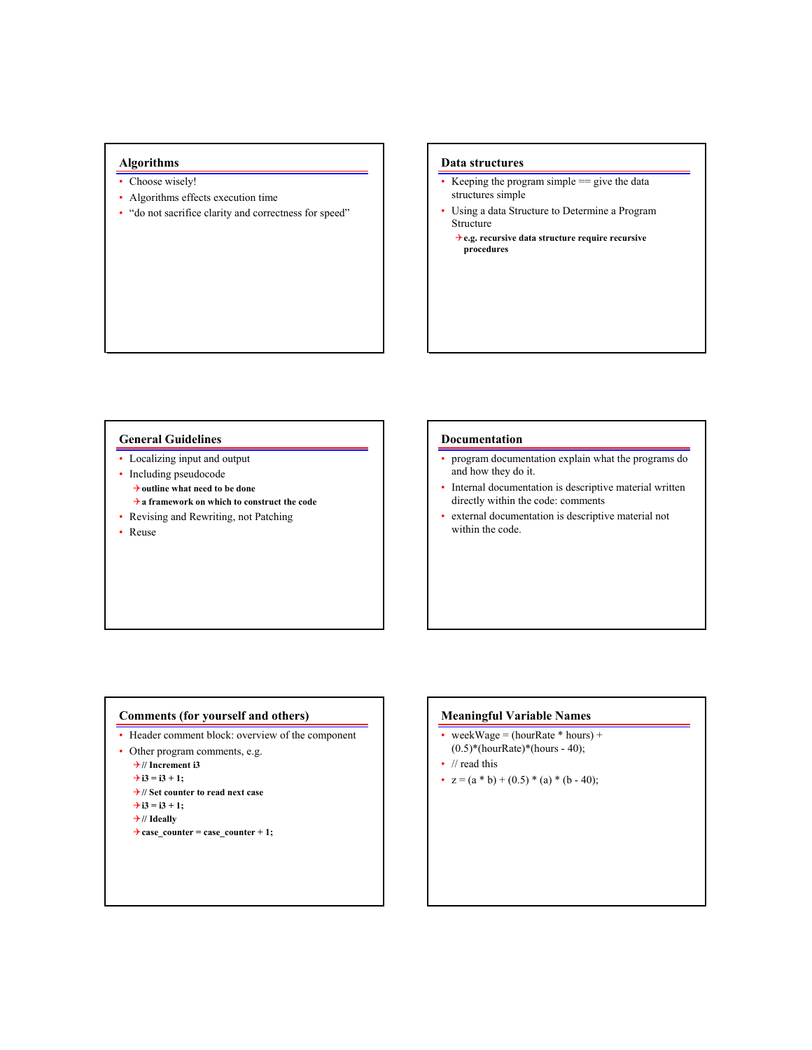# **Algorithms**

- Choose wisely!
- Algorithms effects execution time
- "do not sacrifice clarity and correctness for speed"

#### **Data structures**

- Keeping the program simple  $=$  give the data structures simple
- Using a data Structure to Determine a Program Structure
	- 4**e.g. recursive data structure require recursive procedures**

#### **General Guidelines**

- Localizing input and output
- Including pseudocode
	- 4**outline what need to be done**
- 4**a framework on which to construct the code**
- Revising and Rewriting, not Patching
- Reuse

#### **Documentation**

- program documentation explain what the programs do and how they do it.
- Internal documentation is descriptive material written directly within the code: comments
- external documentation is descriptive material not within the code.

# **Comments (for yourself and others)**

- Header comment block: overview of the component
- Other program comments, e.g.

4**// Increment i3**

 $\div$ **i**3 = **i**3 + 1;

```
4// Set counter to read next case
\rightarrow i3 = i3 + 1;
```

```
4// Ideally
```

```
\rightarrow case_counter = case_counter + 1;
```
# **Meaningful Variable Names**

- weekWage =  $(hourRate * hours) +$  $(0.5)$ \*(hourRate)\*(hours - 40);
- // read this
- $z = (a * b) + (0.5) * (a) * (b 40);$